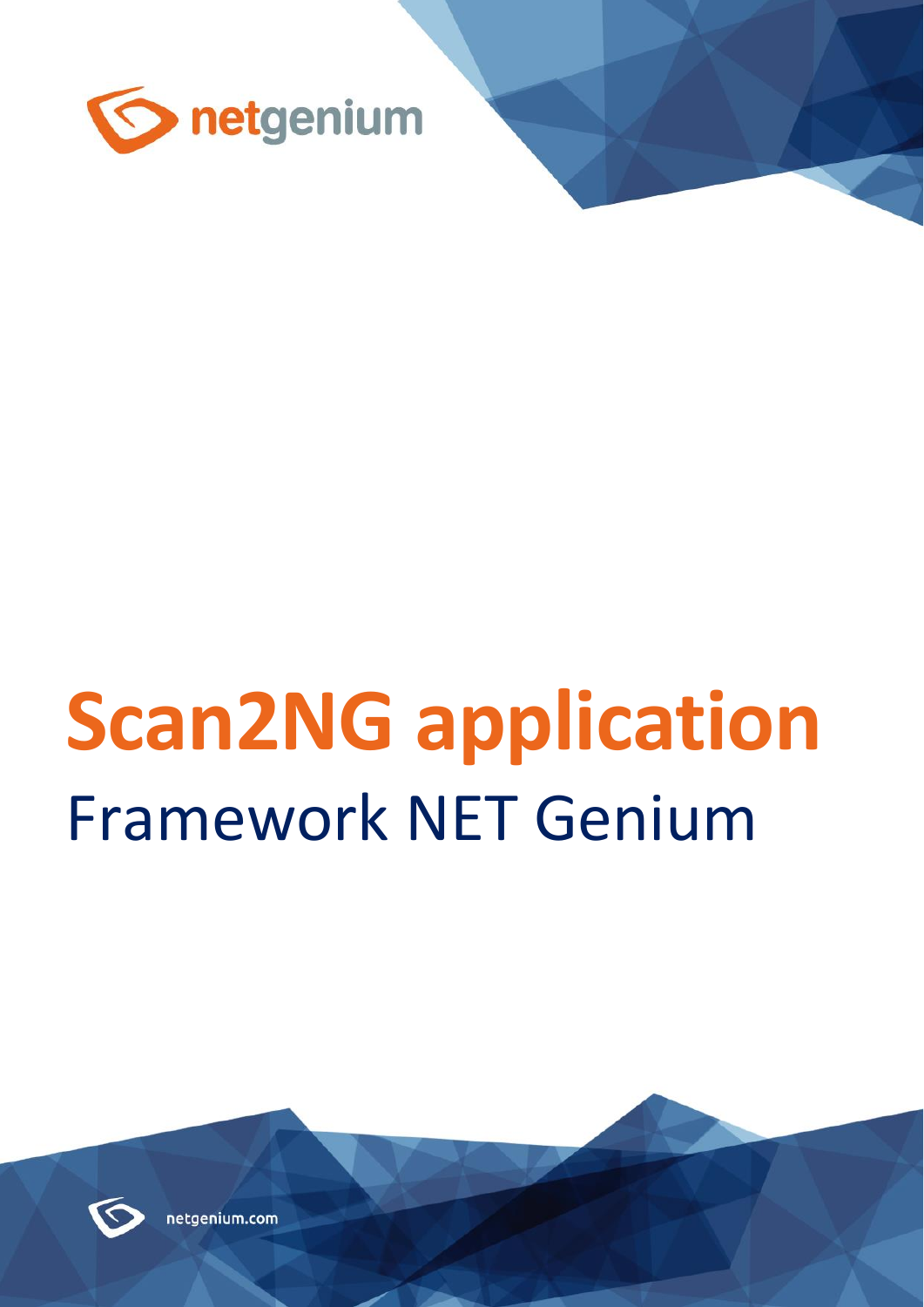

# **Scan2NG application** Framework NET Genium



netgenium.com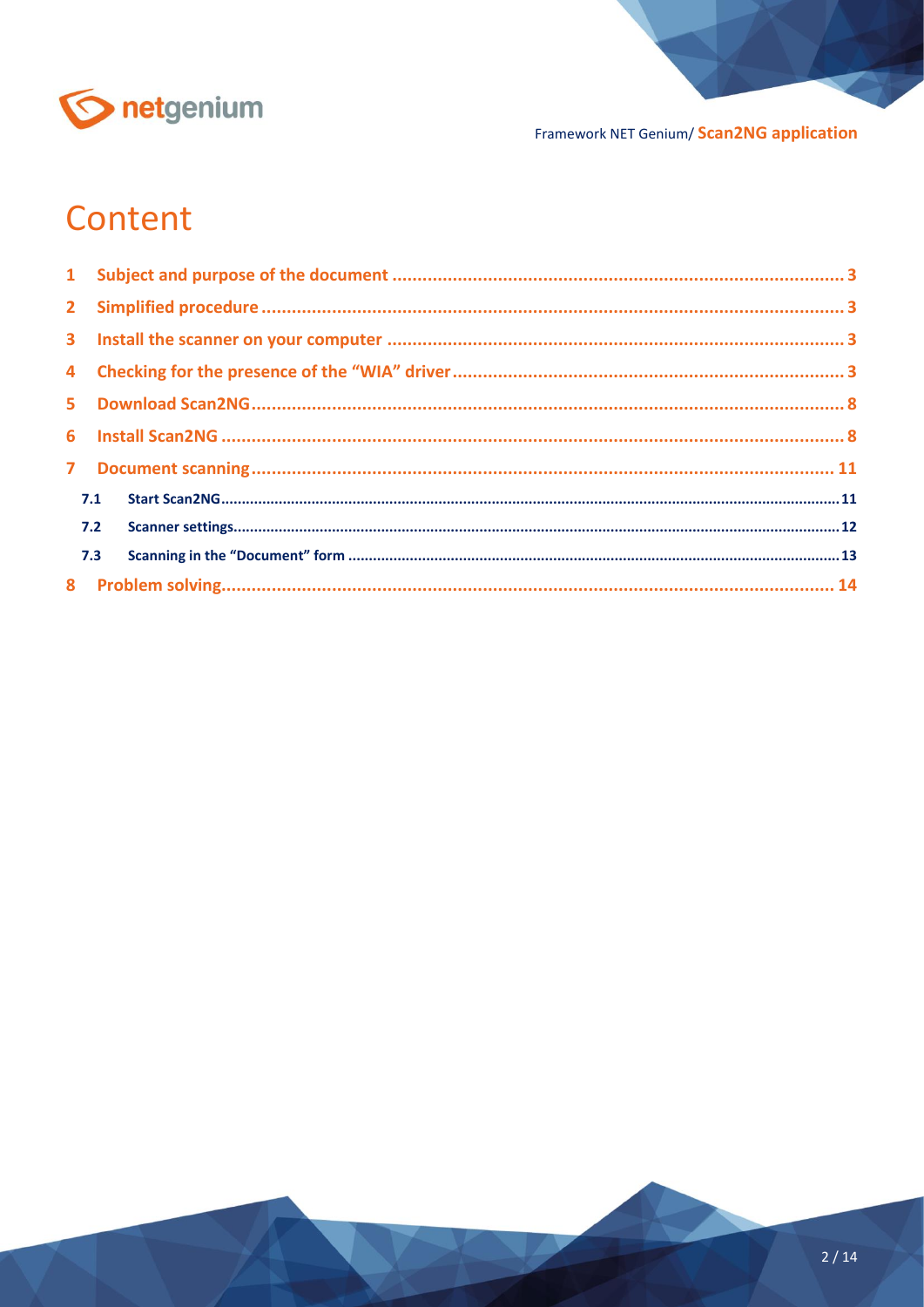

## Content

| 7.1 |     |  |
|-----|-----|--|
|     | 7.2 |  |
|     | 7.3 |  |
|     |     |  |
|     |     |  |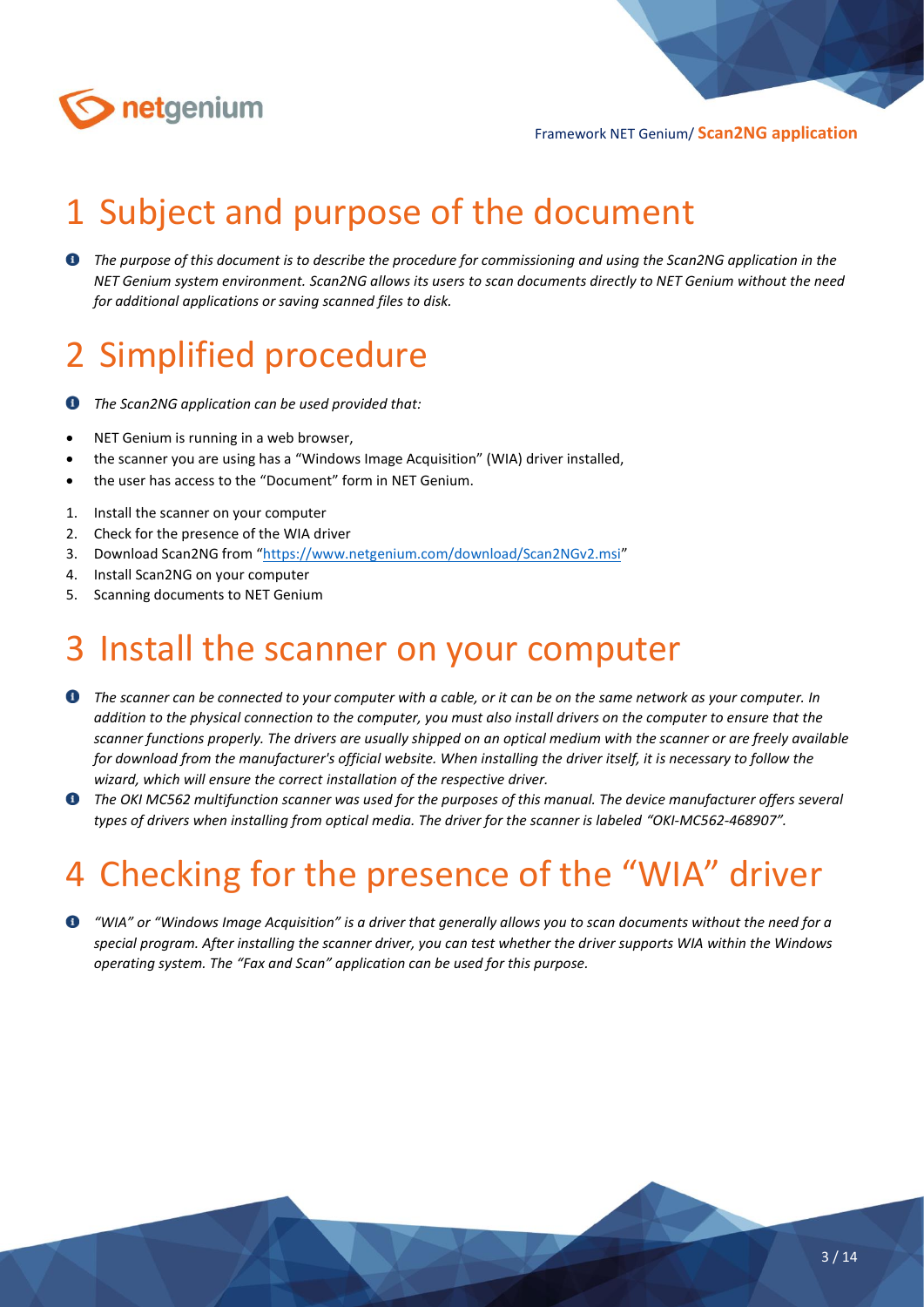

# <span id="page-2-0"></span>1 Subject and purpose of the document

**<sup>O</sup>** The purpose of this document is to describe the procedure for commissioning and using the Scan2NG application in the *NET Genium system environment. Scan2NG allows its users to scan documents directly to NET Genium without the need for additional applications or saving scanned files to disk.*

## <span id="page-2-1"></span>2 Simplified procedure

*The Scan2NG application can be used provided that:*  $\bullet$ 

- NET Genium is running in a web browser,
- the scanner you are using has a "Windows Image Acquisition" (WIA) driver installed,
- the user has access to the "Document" form in NET Genium.
- 1. Install the scanner on your computer
- 2. Check for the presence of the WIA driver
- 3. Download Scan2NG from "<https://www.netgenium.com/download/Scan2NGv2.msi>"
- 4. Install Scan2NG on your computer
- 5. Scanning documents to NET Genium

### <span id="page-2-2"></span>3 Install the scanner on your computer

- *The scanner can be connected to your computer with a cable, or it can be on the same network as your computer. In addition to the physical connection to the computer, you must also install drivers on the computer to ensure that the scanner functions properly. The drivers are usually shipped on an optical medium with the scanner or are freely available for download from the manufacturer's official website. When installing the driver itself, it is necessary to follow the wizard, which will ensure the correct installation of the respective driver.*
- $\bullet$ *The OKI MC562 multifunction scanner was used for the purposes of this manual. The device manufacturer offers several types of drivers when installing from optical media. The driver for the scanner is labeled "OKI-MC562-468907".*

# <span id="page-2-3"></span>4 Checking for the presence of the "WIA" driver

*"WIA" or "Windows Image Acquisition" is a driver that generally allows you to scan documents without the need for a special program. After installing the scanner driver, you can test whether the driver supports WIA within the Windows operating system. The "Fax and Scan" application can be used for this purpose.*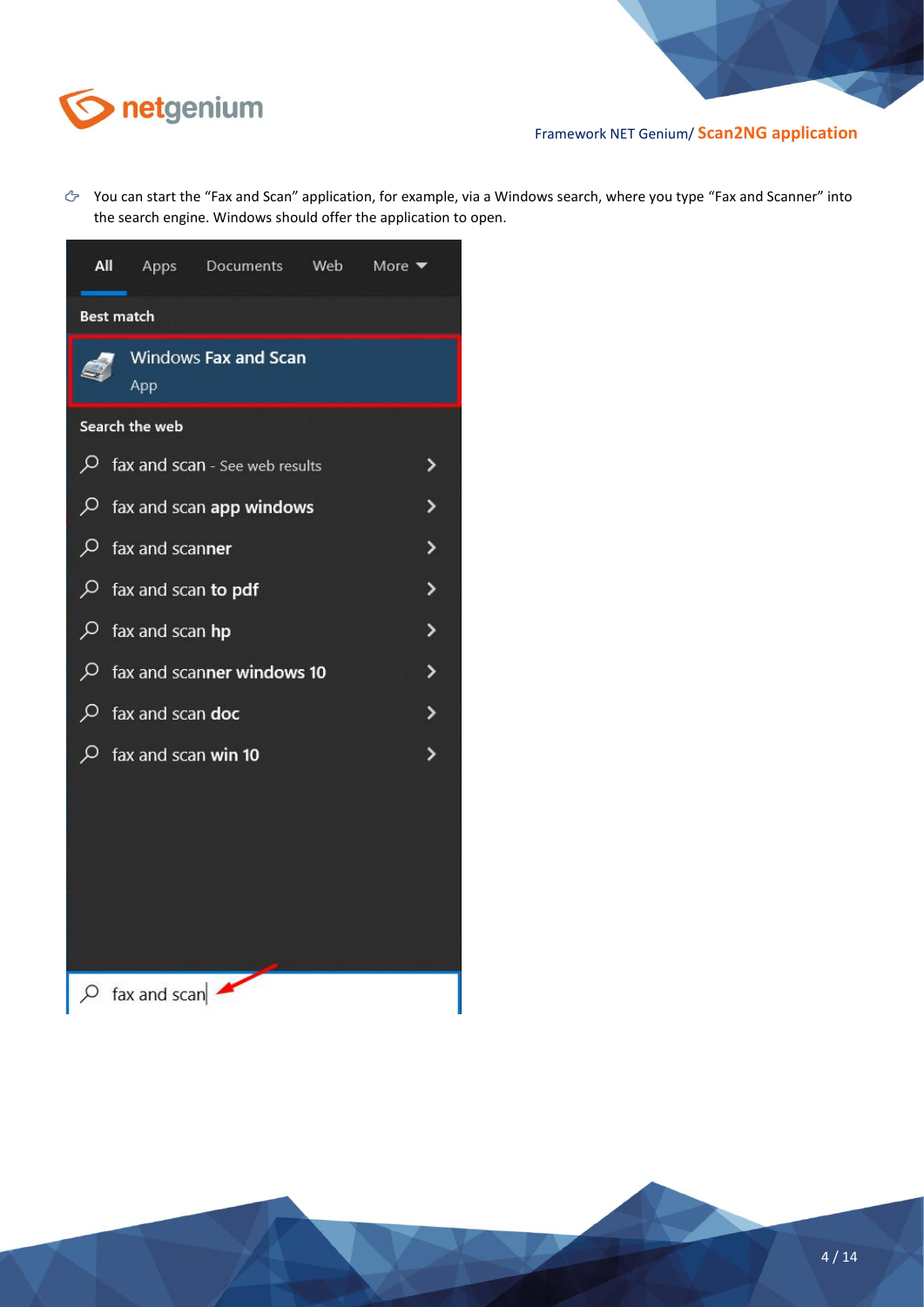

You can start the "Fax and Scan" application, for example, via a Windows search, where you type "Fax and Scanner" into the search engine. Windows should offer the application to open.

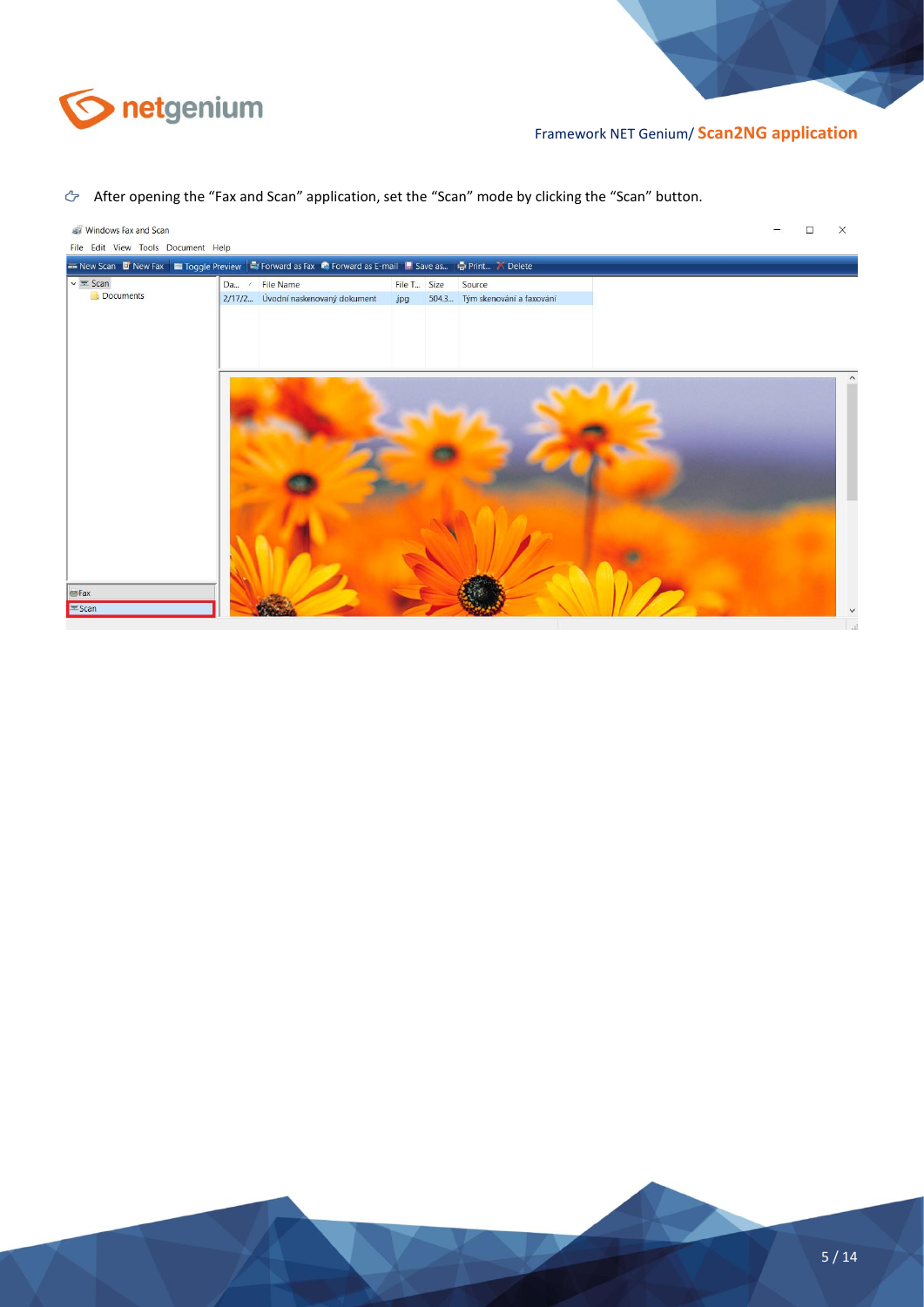

#### After opening the "Fax and Scan" application, set the "Scan" mode by clicking the "Scan" button.

| Windows Fax and Scan<br>File Edit View Tools Document Help                                                                     |                                                      |                    |                                          |  | X |
|--------------------------------------------------------------------------------------------------------------------------------|------------------------------------------------------|--------------------|------------------------------------------|--|---|
| <b>Example 2</b> New Fax <b>Example 2</b> Toggle Preview Sil Forward as Fax is Forward as E-mail II. Save as in Trint X Delete |                                                      |                    |                                          |  |   |
| $\mathsf{v} \equiv$ Scan<br>Documents                                                                                          | Da / File Name<br>2/17/2 Úvodní naskenovaný dokument | File T Size<br>jpg | Source<br>504.3 Tým skenování a faxování |  |   |
| $E = Fax$                                                                                                                      |                                                      |                    |                                          |  |   |
| Scan                                                                                                                           |                                                      |                    |                                          |  |   |

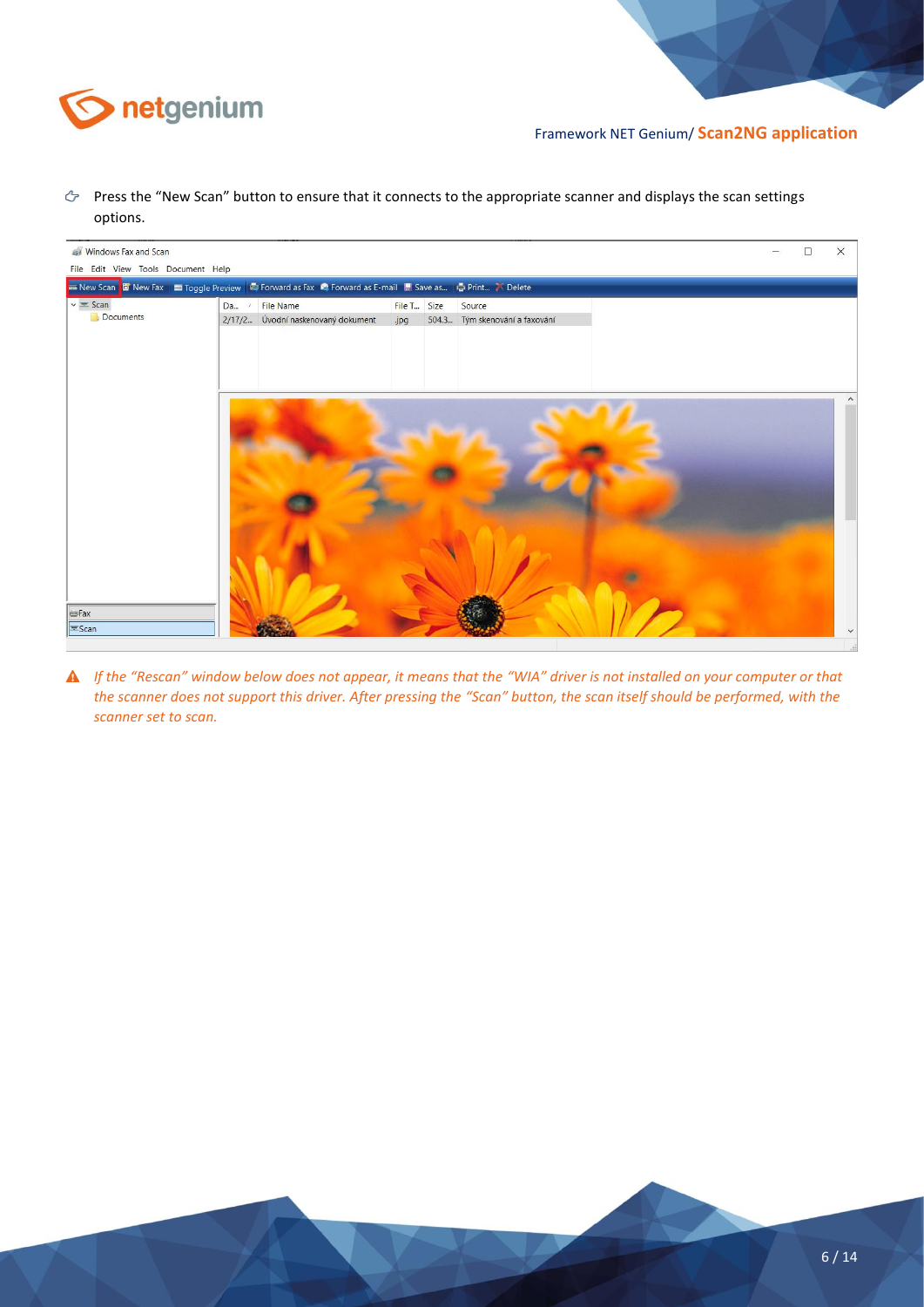

Press the "New Scan" button to ensure that it connects to the appropriate scanner and displays the scan settings options.

| Windows Fax and Scan               |                                                                                                                         |             |                                |  | □ | X |
|------------------------------------|-------------------------------------------------------------------------------------------------------------------------|-------------|--------------------------------|--|---|---|
| File Edit View Tools Document Help |                                                                                                                         |             |                                |  |   |   |
|                                    | E New Scan <b>E</b> New Fax   Toggle Preview   E Forward as Fax <b>P</b> Forward as E-mail   Save as   E Print 7 Delete |             |                                |  |   |   |
| $\sqrt{2}$ Scan                    | Da / File Name                                                                                                          | File T Size | Source                         |  |   |   |
| Documents                          | 2/17/2 Úvodní naskenovaný dokument                                                                                      | jpg         | 504.3 Tým skenování a faxování |  |   |   |
|                                    |                                                                                                                         |             |                                |  |   |   |
|                                    |                                                                                                                         |             |                                |  |   |   |
|                                    |                                                                                                                         |             |                                |  |   |   |
|                                    |                                                                                                                         |             |                                |  |   |   |
|                                    |                                                                                                                         |             |                                |  |   |   |
|                                    |                                                                                                                         |             |                                |  |   |   |
|                                    |                                                                                                                         |             |                                |  |   |   |
|                                    |                                                                                                                         |             |                                |  |   |   |
|                                    |                                                                                                                         |             |                                |  |   |   |
|                                    |                                                                                                                         |             |                                |  |   |   |
|                                    |                                                                                                                         |             |                                |  |   |   |
|                                    |                                                                                                                         |             |                                |  |   |   |
|                                    |                                                                                                                         |             |                                |  |   |   |
|                                    |                                                                                                                         |             |                                |  |   |   |
|                                    |                                                                                                                         |             |                                |  |   |   |
|                                    |                                                                                                                         |             |                                |  |   |   |
| <b>E</b> Fax                       |                                                                                                                         |             |                                |  |   |   |
| $\equiv$ Scan                      |                                                                                                                         |             |                                |  |   |   |
|                                    |                                                                                                                         |             |                                |  |   |   |

*If the "Rescan" window below does not appear, it means that the "WIA" driver is not installed on your computer or that the scanner does not support this driver. After pressing the "Scan" button, the scan itself should be performed, with the scanner set to scan.*

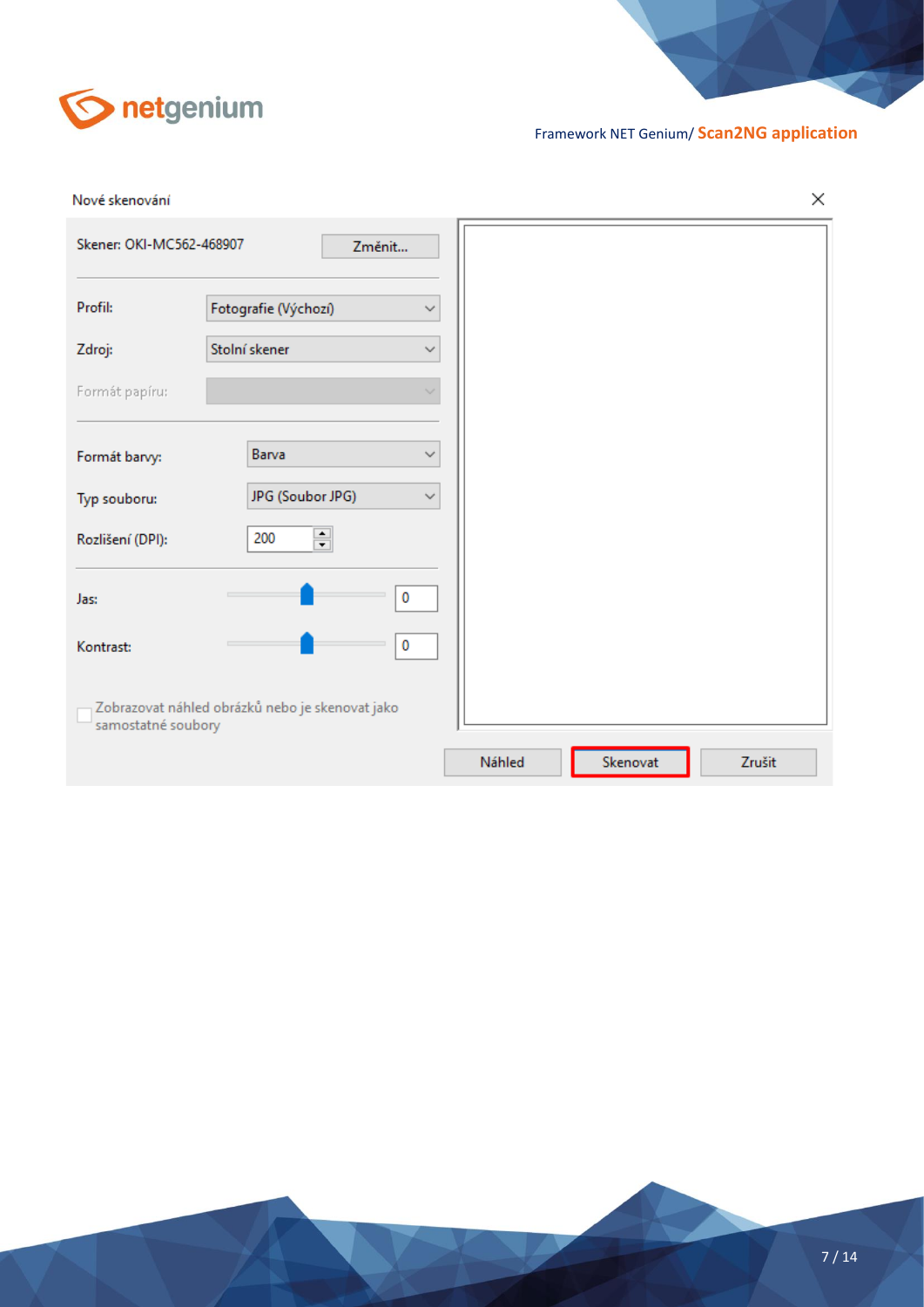

| Nové skenování           |                                                 |        |          | ×      |
|--------------------------|-------------------------------------------------|--------|----------|--------|
| Skener: OKI-MC562-468907 | Změnit                                          |        |          |        |
| Profil:                  | Fotografie (Výchozí)<br>$\checkmark$            |        |          |        |
| Zdroj:                   | Stolní skener<br>$\checkmark$                   |        |          |        |
| Formát papíru:           | w                                               |        |          |        |
| Formát barvy:            | Barva<br>$\checkmark$                           |        |          |        |
| Typ souboru:             | JPG (Soubor JPG)<br>$\checkmark$                |        |          |        |
| Rozlišení (DPI):         | 츾<br>200                                        |        |          |        |
| Jas:                     | 0                                               |        |          |        |
| Kontrast:                | 0                                               |        |          |        |
| samostatné soubory       | Zobrazovat náhled obrázků nebo je skenovat jako |        |          |        |
|                          |                                                 | Náhled | Skenovat | Zrušit |

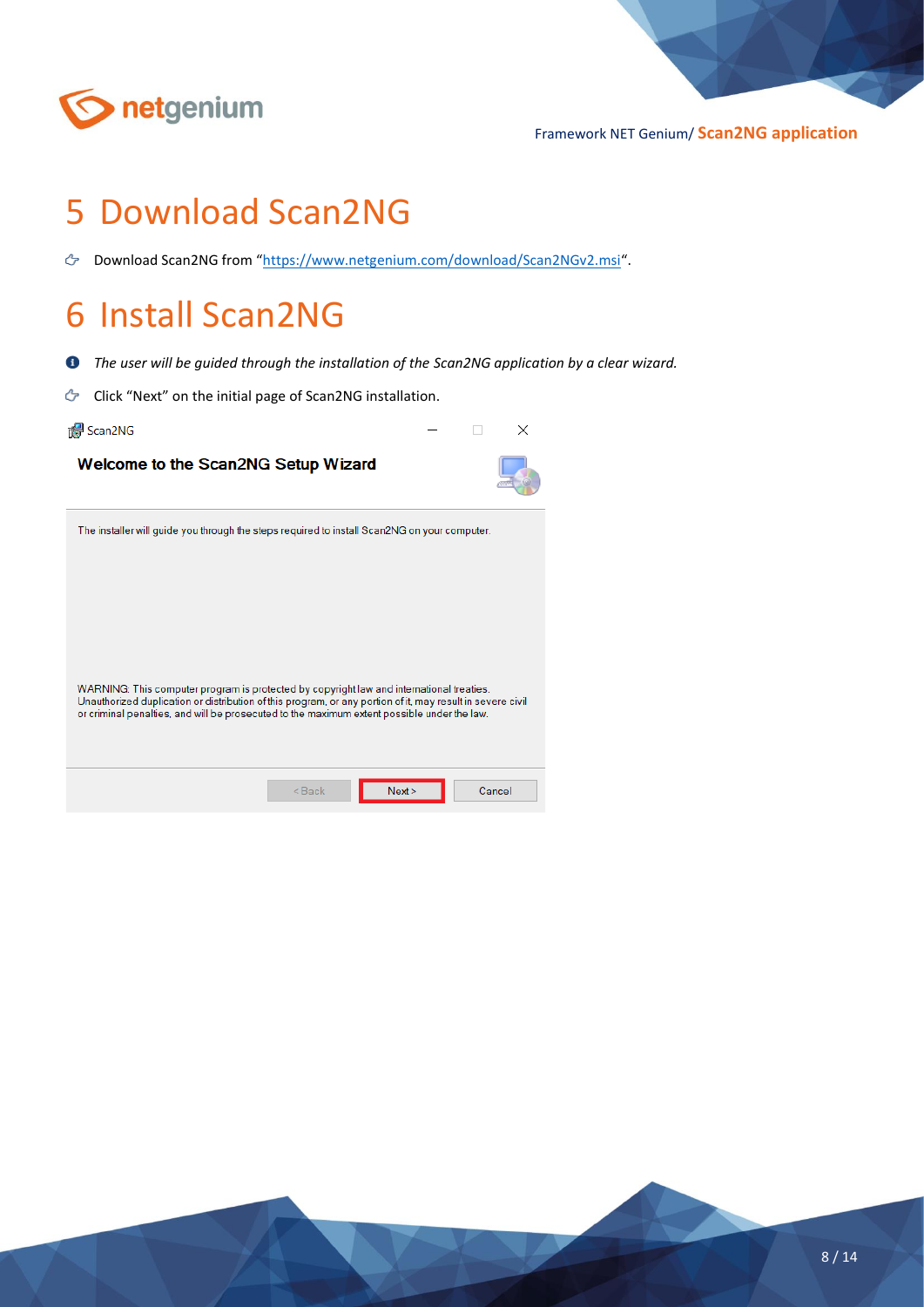

## <span id="page-7-0"></span>5 Download Scan2NG

Download Scan2NG from "<https://www.netgenium.com/download/Scan2NGv2.msi>".

### <span id="page-7-1"></span>6 Install Scan2NG

- $\bullet$ *The user will be guided through the installation of the Scan2NG application by a clear wizard.*
- ඌ Click "Next" on the initial page of Scan2NG installation.

Welcome to the Scan2NG Setup Wizard

Scan2NG



| The installer will guide you through the steps required to install Scan2NG on your computer.                                                                                                                                                                                                          |
|-------------------------------------------------------------------------------------------------------------------------------------------------------------------------------------------------------------------------------------------------------------------------------------------------------|
|                                                                                                                                                                                                                                                                                                       |
|                                                                                                                                                                                                                                                                                                       |
|                                                                                                                                                                                                                                                                                                       |
|                                                                                                                                                                                                                                                                                                       |
| WARNING: This computer program is protected by copyright law and international treaties.<br>Unauthorized duplication or distribution of this program, or any portion of it, may result in severe civil<br>or criminal penalties, and will be prosecuted to the maximum extent possible under the law. |
|                                                                                                                                                                                                                                                                                                       |
|                                                                                                                                                                                                                                                                                                       |
| Next<br>$Back$<br>Cancel                                                                                                                                                                                                                                                                              |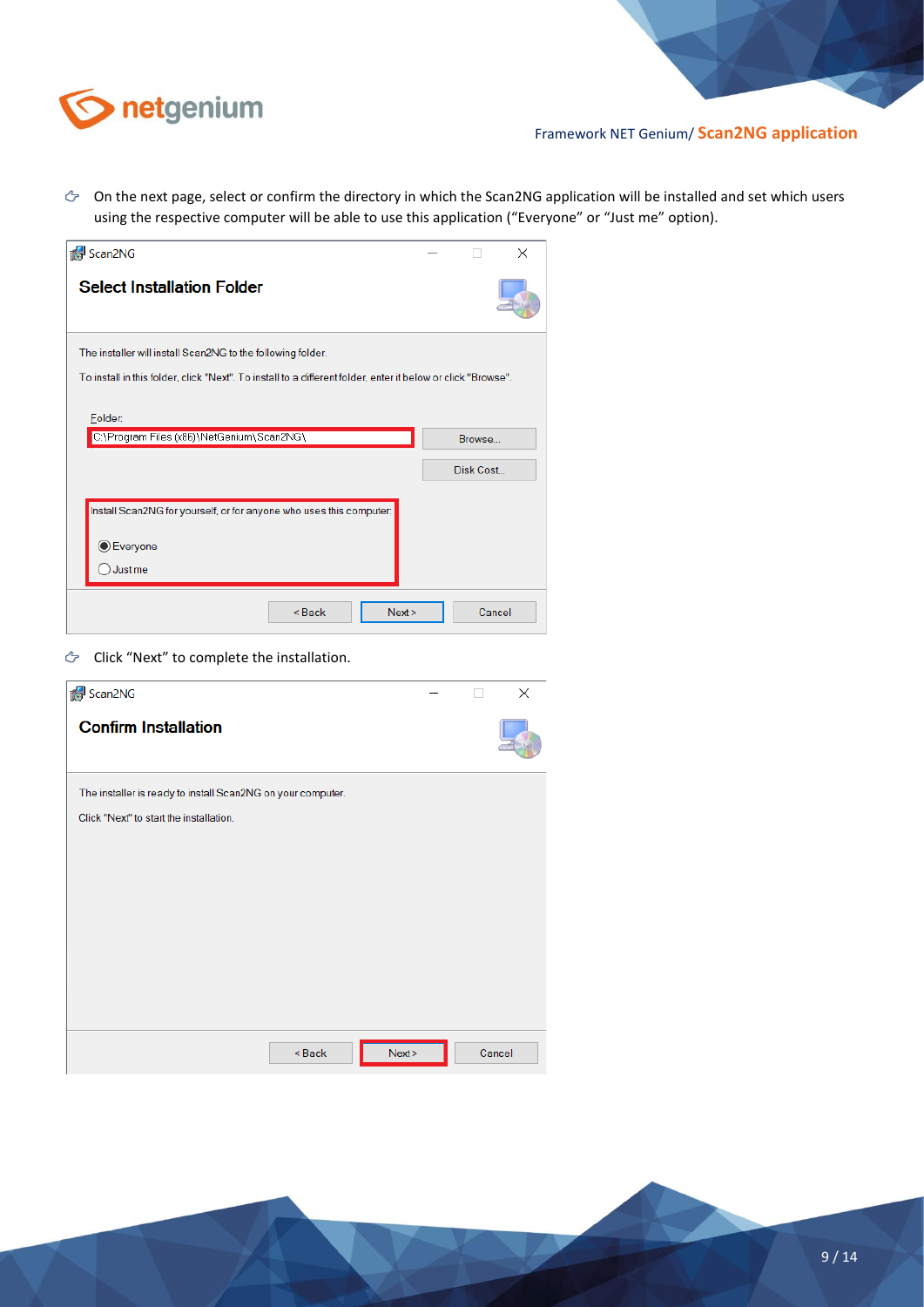

 $\circledcirc$  On the next page, select or confirm the directory in which the Scan2NG application will be installed and set which users using the respective computer will be able to use this application ("Everyone" or "Just me" option).

| de Scan2NG                                                                                                   |           | × |
|--------------------------------------------------------------------------------------------------------------|-----------|---|
| <b>Select Installation Folder</b>                                                                            |           |   |
| The installer will install Scan2NG to the following folder.                                                  |           |   |
| To install in this folder, click "Next". To install to a different folder, enter it below or click "Browse". |           |   |
| Folder:<br>C:\Program Files (x86)\NetGenium\Scan2NG\                                                         | Browse    |   |
|                                                                                                              | Disk Cost |   |
| Install Scan2NG for yourself, or for anyone who uses this computer:<br>C Everyone<br>Just me                 |           |   |
| Next<br><back< th=""><td>Cancel</td><td></td></back<>                                                        | Cancel    |   |

G Click "Next" to complete the installation.

| Scan2NG                                                     | l. | $\times$ |
|-------------------------------------------------------------|----|----------|
| <b>Confirm Installation</b>                                 |    |          |
| The installer is ready to install Scan2NG on your computer. |    |          |
| Click "Next" to start the installation.                     |    |          |
|                                                             |    |          |
|                                                             |    |          |
|                                                             |    |          |
|                                                             |    |          |
|                                                             |    |          |
|                                                             |    |          |
|                                                             |    |          |
| Next<br><back< th=""><td></td><td>Cancel</td></back<>       |    | Cancel   |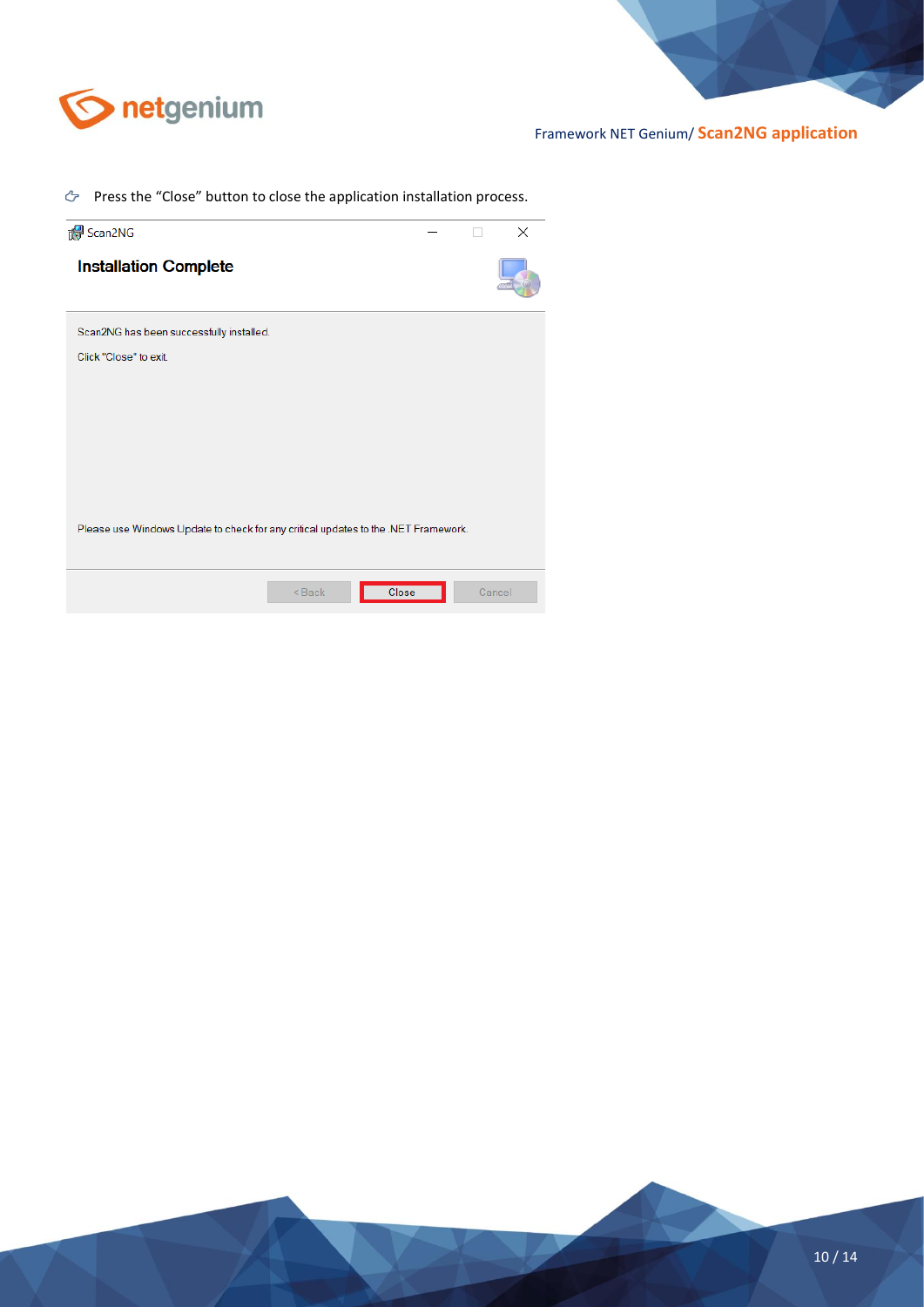

 $\Diamond$  Press the "Close" button to close the application installation process.

| Scan2NG                                                                            |  | ×      |
|------------------------------------------------------------------------------------|--|--------|
| <b>Installation Complete</b>                                                       |  |        |
| Scan2NG has been successfully installed.                                           |  |        |
| Click "Close" to exit.                                                             |  |        |
|                                                                                    |  |        |
|                                                                                    |  |        |
|                                                                                    |  |        |
|                                                                                    |  |        |
| Please use Windows Update to check for any critical updates to the .NET Framework. |  |        |
|                                                                                    |  |        |
| Close<br><back< td=""><td></td><td>Cancel</td></back<>                             |  | Cancel |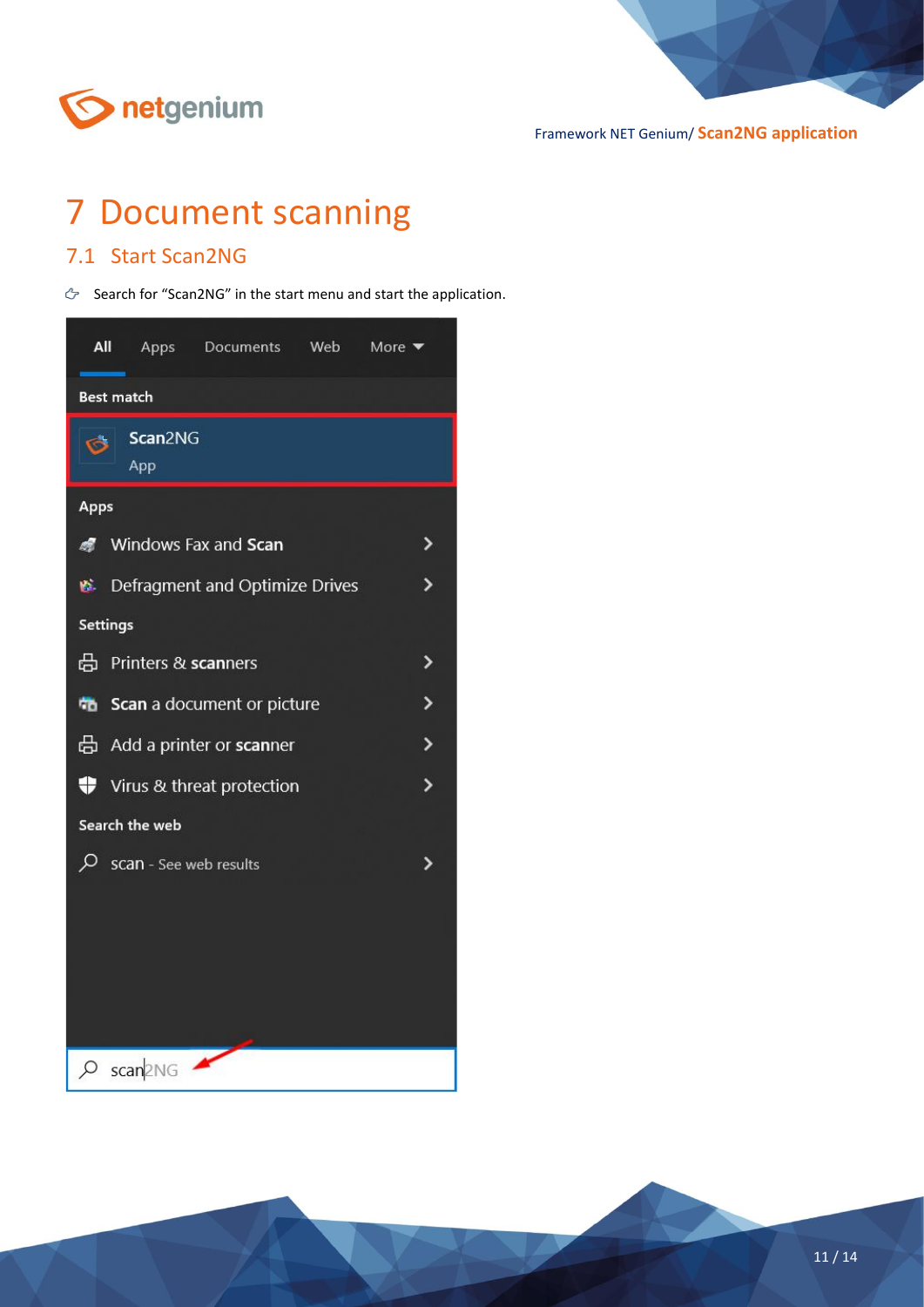

# <span id="page-10-0"></span>7 Document scanning

### <span id="page-10-1"></span>7.1 Start Scan2NG

Search for "Scan2NG" in the start menu and start the application.

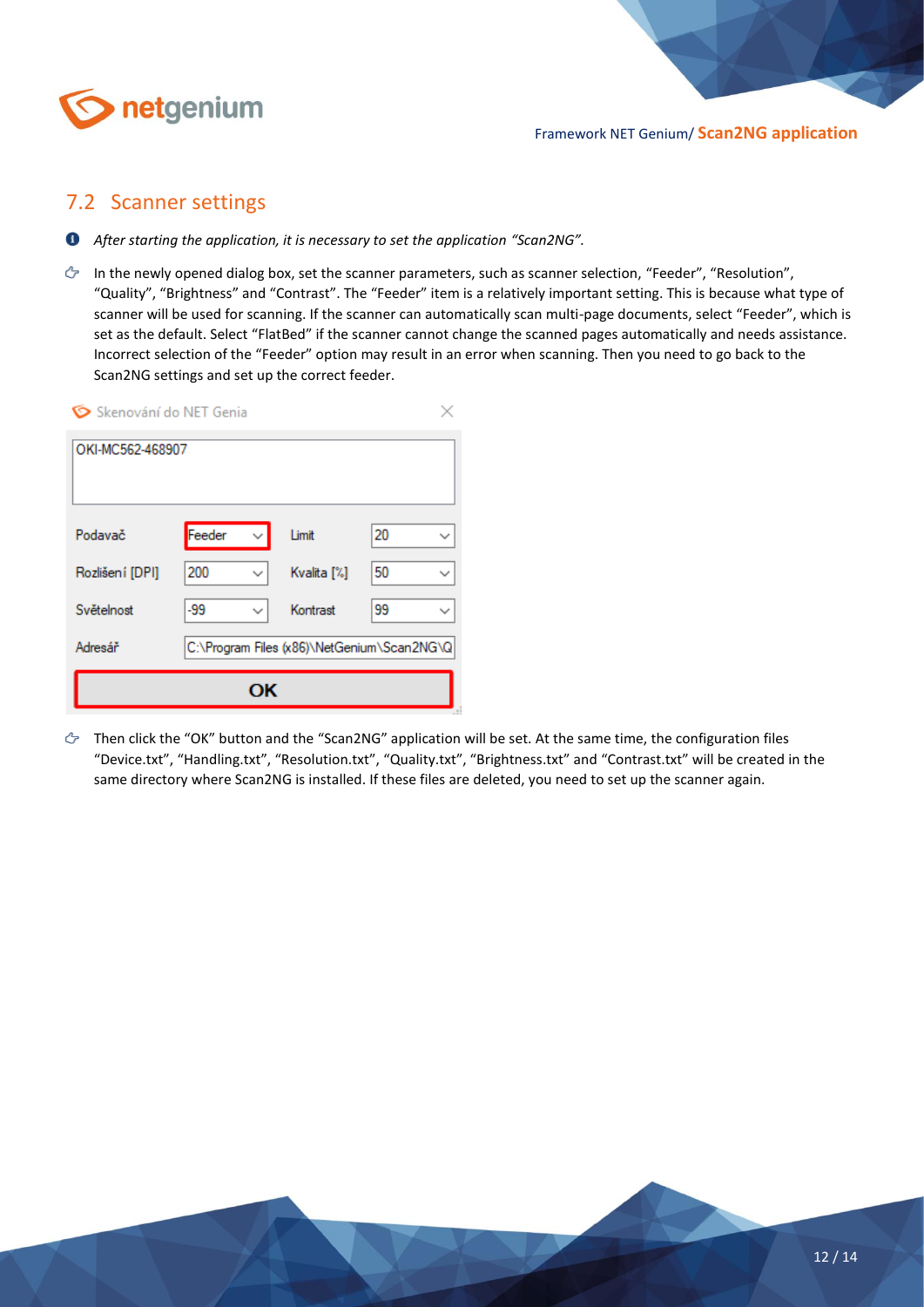

### <span id="page-11-0"></span>7.2 Scanner settings

- *After starting the application, it is necessary to set the application "Scan2NG".*
- In the newly opened dialog box, set the scanner parameters, such as scanner selection, "Feeder", "Resolution", "Quality", "Brightness" and "Contrast". The "Feeder" item is a relatively important setting. This is because what type of scanner will be used for scanning. If the scanner can automatically scan multi-page documents, select "Feeder", which is set as the default. Select "FlatBed" if the scanner cannot change the scanned pages automatically and needs assistance. Incorrect selection of the "Feeder" option may result in an error when scanning. Then you need to go back to the Scan2NG settings and set up the correct feeder.

| Skenování do NET Genia |        |                                            |         |
|------------------------|--------|--------------------------------------------|---------|
| OKI-MC562-468907       |        |                                            |         |
| Podavač                | Feeder | Limit<br>$\checkmark$                      | 20<br>∨ |
| Rozlišení [DPI]        | 200    | Kvalita [%]<br>$\checkmark$                | 50<br>✓ |
| Světelnost             | $-99$  | Kontrast<br>$\checkmark$                   | 99<br>◡ |
| Adresář                |        | C:\Program Files (x86)\NetGenium\Scan2NG\Q |         |
|                        |        | ОK                                         |         |

 $\circled{r}$  Then click the "OK" button and the "Scan2NG" application will be set. At the same time, the configuration files "Device.txt", "Handling.txt", "Resolution.txt", "Quality.txt", "Brightness.txt" and "Contrast.txt" will be created in the same directory where Scan2NG is installed. If these files are deleted, you need to set up the scanner again.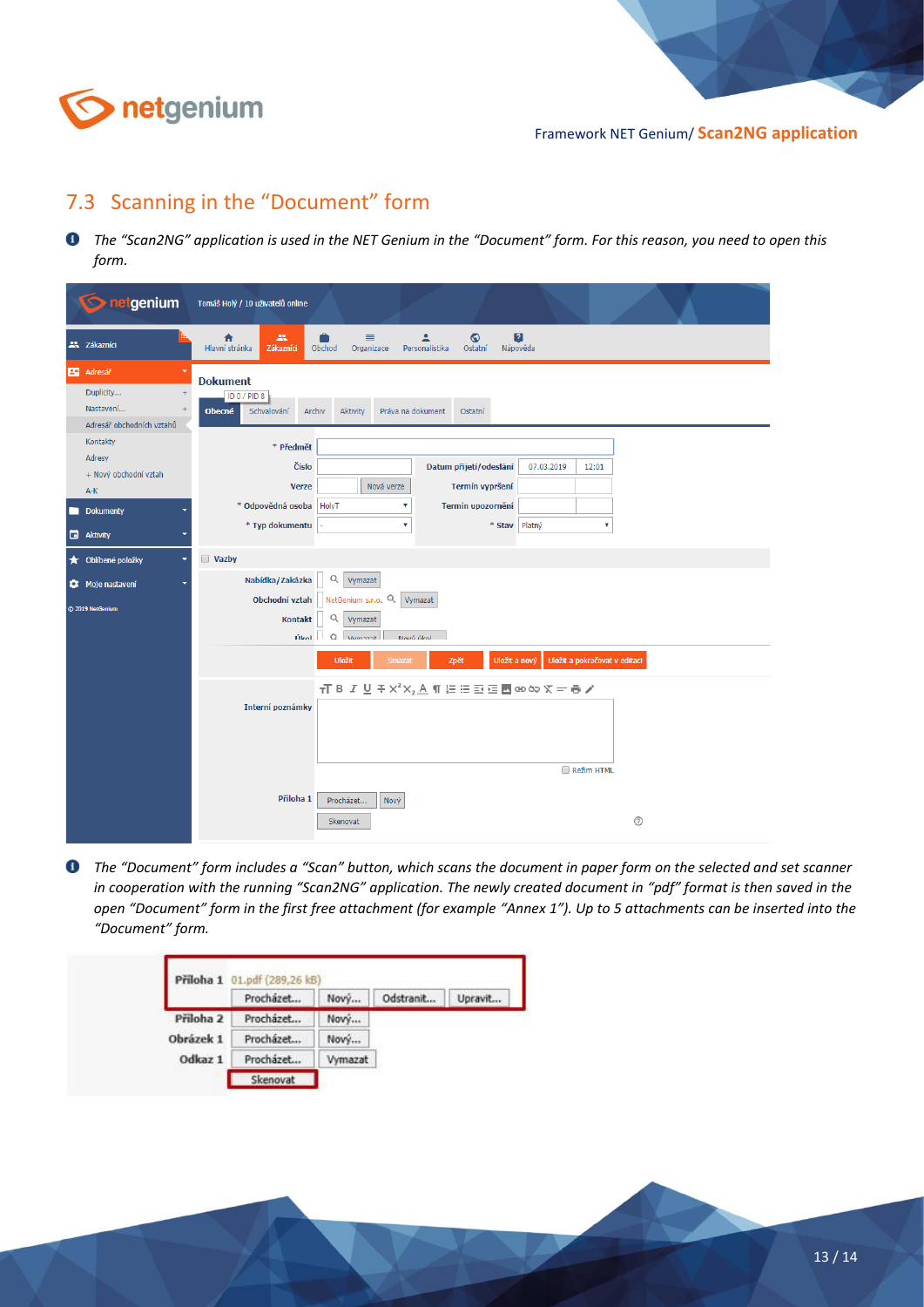

### <span id="page-12-0"></span>7.3 Scanning in the "Document" form

*The "Scan2NG" application is used in the NET Genium in the "Document" form. For this reason, you need to open this form.*

| <b>O</b> netgenium                                                                   | Tomáš Holý / 10 uživatelů online                                                                                                                                                                                                                         |  |
|--------------------------------------------------------------------------------------|----------------------------------------------------------------------------------------------------------------------------------------------------------------------------------------------------------------------------------------------------------|--|
| 22 Zákazníci                                                                         | 血<br>≣<br>$\odot$<br>$\sqrt{2}$<br>₳<br>≗<br>Hlavní stránka<br>Zákazníci<br>Obchod<br>Personalistika<br>Ostatní<br>Nápověda<br>Organizace                                                                                                                |  |
| <b>R</b> <sup>9</sup> Adresář<br>Duplicity<br>Nastavení<br>Adresář obchodních vztahů | <b>Dokument</b><br>ID 0 / PID 8<br>Schvalování<br>Práva na dokument<br><b>Obecné</b><br>Archiv<br>Aktivity<br>Ostatní                                                                                                                                    |  |
| Kontakty<br>Adresy<br>+ Nový obchodní vztah<br>A-K<br>Dokumenty                      | * Předmět<br>Číslo<br>Datum přijetí/odeslání<br>07.03.2019<br>12:01<br>Nová verze<br>Termín vypršení<br><b>Verze</b><br>* Odpovědná osoba HolyT<br>Termín upozornění<br>۷                                                                                |  |
| <b>B</b> Aktivity<br><b>★</b> Oblibené položky                                       | * Typ dokumentu<br>* Stav Platný<br>۷<br>v<br><b>Vazby</b>                                                                                                                                                                                               |  |
| Moje nastavení<br>@ 2019 NetGenium                                                   | Nabídka/Zakázka<br>Q<br>Vymazat<br>Obchodní vztah NetGenium s.r.o. Q<br>Vymazat<br>Q Vymazat<br>Kontakt<br>$f_{\text{total}}$ 0 $v_{\text{boundary}}$<br>Movié úkol                                                                                      |  |
|                                                                                      | Uložit a pokračovat v editaci<br>Zpět<br>Uložit a nový<br><b>Uložit</b><br>Smazat<br>$\overline{1}$ B $I \subseteq F \times^2 X_2 \triangle \overline{1}$ is $\Xi \Xi \Xi \overline{\Xi}$ to $\infty \times F = \overline{\Theta}$ /<br>Interní poznámky |  |
|                                                                                      | Režim HTML<br>Příloha 1<br>Procházet<br>Nový<br>$\odot$<br>Skenovat                                                                                                                                                                                      |  |

*The "Document" form includes a "Scan" button, which scans the document in paper form on the selected and set scanner in cooperation with the running "Scan2NG" application. The newly created document in "pdf" format is then saved in the open "Document" form in the first free attachment (for example "Annex 1"). Up to 5 attachments can be inserted into the "Document" form.*